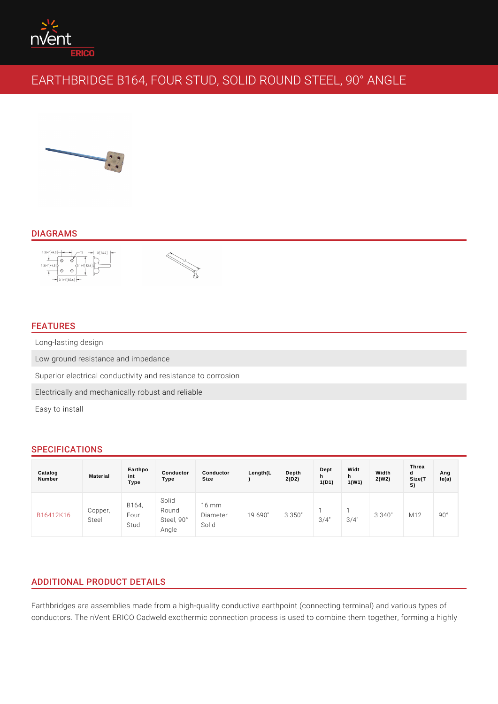### DIAGRAMS

## FEATURES

Long-lasting design Low ground resistance and impedance Superior electrical conductivity and resistance to corrosion Electrically and mechanically robust and reliable Easy to install

## SPECIFICATIONS

| Catalog<br>Number  | Material | Earthpo<br>int<br>Type   | Conductor<br>Type                 | Conductor<br>Size                            | Length(L | Depth<br>2(D2) | Dept<br>h.<br>1(D1) | Widt<br>h<br>1(W1) | Width<br>2(W2) | Threa<br>d<br>Size(T<br>S) | Ang<br>le(a) |
|--------------------|----------|--------------------------|-----------------------------------|----------------------------------------------|----------|----------------|---------------------|--------------------|----------------|----------------------------|--------------|
| B16412K16<br>Steel | Copper   | B 1 6 4,<br>Four<br>Stud | Solid<br>Round<br>Steel,<br>Angle | - 6<br>m m<br>$90^\circ$ ameter<br>$S$ o lid |          | 19.690"3.350"  | $3/4$ "             | $3/4$ "            | 3.340          | M 1 2                      | 90°          |

# ADDITIONAL PRODUCT DETAILS

Earthbridges are assemblies made from a high-quality conductive earthpoint (con conductors. The nVent ERICO Cadweld exothermic connection process is used to